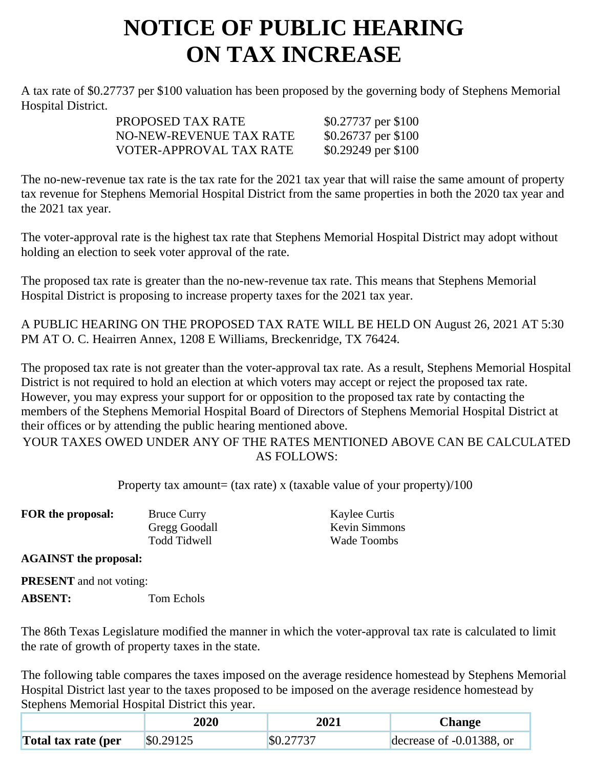## **NOTICE OF PUBLIC HEARING ON TAX INCREASE**

A tax rate of \$0.27737 per \$100 valuation has been proposed by the governing body of Stephens Memorial Hospital District.

| PROPOSED TAX RATE       | \$0.27737 per \$100 |
|-------------------------|---------------------|
| NO-NEW-REVENUE TAX RATE | \$0.26737 per \$100 |
| VOTER-APPROVAL TAX RATE | \$0.29249 per \$100 |

The no-new-revenue tax rate is the tax rate for the 2021 tax year that will raise the same amount of property tax revenue for Stephens Memorial Hospital District from the same properties in both the 2020 tax year and the 2021 tax year.

The voter-approval rate is the highest tax rate that Stephens Memorial Hospital District may adopt without holding an election to seek voter approval of the rate.

The proposed tax rate is greater than the no-new-revenue tax rate. This means that Stephens Memorial Hospital District is proposing to increase property taxes for the 2021 tax year.

A PUBLIC HEARING ON THE PROPOSED TAX RATE WILL BE HELD ON August 26, 2021 AT 5:30 PM AT O. C. Heairren Annex, 1208 E Williams, Breckenridge, TX 76424.

The proposed tax rate is not greater than the voter-approval tax rate. As a result, Stephens Memorial Hospital District is not required to hold an election at which voters may accept or reject the proposed tax rate. However, you may express your support for or opposition to the proposed tax rate by contacting the members of the Stephens Memorial Hospital Board of Directors of Stephens Memorial Hospital District at their offices or by attending the public hearing mentioned above.

YOUR TAXES OWED UNDER ANY OF THE RATES MENTIONED ABOVE CAN BE CALCULATED AS FOLLOWS:

Property tax amount= (tax rate) x (taxable value of your property)/100

| FOR the proposal:     | <b>Bruce Curry</b> | Kaylee Curtis        |
|-----------------------|--------------------|----------------------|
|                       | Gregg Goodall      | <b>Kevin Simmons</b> |
|                       | Todd Tidwell       | Wade Toombs          |
| $A \cap A$ Theory $A$ |                    |                      |

**AGAINST the proposal:**

**PRESENT** and not voting:

**ABSENT:** Tom Echols

The 86th Texas Legislature modified the manner in which the voter-approval tax rate is calculated to limit the rate of growth of property taxes in the state.

The following table compares the taxes imposed on the average residence homestead by Stephens Memorial Hospital District last year to the taxes proposed to be imposed on the average residence homestead by Stephens Memorial Hospital District this year.

|                     | 2020      | 2021      | Change                   |
|---------------------|-----------|-----------|--------------------------|
| Total tax rate (per | \$0.29125 | \$0.27737 | decrease of -0.01388, or |